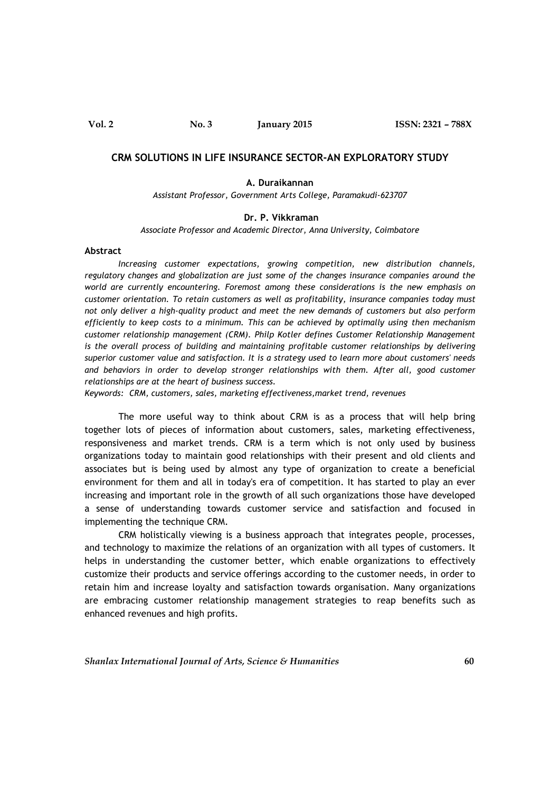# **CRM SOLUTIONS IN LIFE INSURANCE SECTOR-AN EXPLORATORY STUDY**

### **A. Duraikannan**

*Assistant Professor, Government Arts College, Paramakudi-623707*

#### **Dr. P. Vikkraman**

*Associate Professor and Academic Director, Anna University, Coimbatore*

### **Abstract**

*Increasing customer expectations, growing competition, new distribution channels, regulatory changes and globalization are just some of the changes insurance companies around the world are currently encountering. Foremost among these considerations is the new emphasis on customer orientation. To retain customers as well as profitability, insurance companies today must not only deliver a high-quality product and meet the new demands of customers but also perform efficiently to keep costs to a minimum. This can be achieved by optimally using then mechanism customer relationship management (CRM). Philp Kotler defines Customer Relationship Management is the overall process of building and maintaining profitable customer relationships by delivering superior customer value and satisfaction. It is a strategy used to learn more about customers' needs and behaviors in order to develop stronger relationships with them. After all, good customer relationships are at the heart of business success.*

*Keywords: CRM, customers, sales, marketing effectiveness,market trend, revenues*

The more useful way to think about CRM is as a process that will help bring together lots of pieces of information about customers, sales, marketing effectiveness, responsiveness and market trends. CRM is a term which is not only used by business organizations today to maintain good relationships with their present and old clients and associates but is being used by almost any type of organization to create a beneficial environment for them and all in today's era of competition. It has started to play an ever increasing and important role in the growth of all such organizations those have developed a sense of understanding towards customer service and satisfaction and focused in implementing the technique CRM.

CRM holistically viewing is a business approach that integrates people, processes, and technology to maximize the relations of an organization with all types of customers. It helps in understanding the customer better, which enable organizations to effectively customize their products and service offerings according to the customer needs, in order to retain him and increase loyalty and satisfaction towards organisation. Many organizations are embracing customer relationship management strategies to reap benefits such as enhanced revenues and high profits.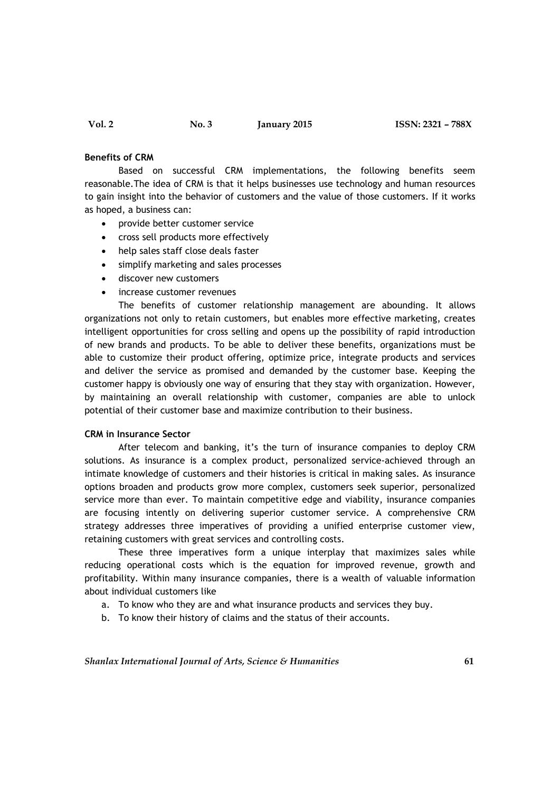### **Benefits of CRM**

Based on successful CRM implementations, the following benefits seem reasonable.The idea of CRM is that it helps businesses use technology and human resources to gain insight into the behavior of customers and the value of those customers. If it works as hoped, a business can:

- provide better customer service
- cross sell products more effectively
- help sales staff close deals faster
- simplify marketing and sales processes
- discover new customers
- increase customer revenues

The benefits of customer relationship management are abounding. It allows organizations not only to retain customers, but enables more effective marketing, creates intelligent opportunities for cross selling and opens up the possibility of rapid introduction of new brands and products. To be able to deliver these benefits, organizations must be able to customize their product offering, optimize price, integrate products and services and deliver the service as promised and demanded by the customer base. Keeping the customer happy is obviously one way of ensuring that they stay with organization. However, by maintaining an overall relationship with customer, companies are able to unlock potential of their customer base and maximize contribution to their business.

## **CRM in Insurance Sector**

After telecom and banking, it's the turn of insurance companies to deploy CRM solutions. As insurance is a complex product, personalized service-achieved through an intimate knowledge of customers and their histories is critical in making sales. As insurance options broaden and products grow more complex, customers seek superior, personalized service more than ever. To maintain competitive edge and viability, insurance companies are focusing intently on delivering superior customer service. A comprehensive CRM strategy addresses three imperatives of providing a unified enterprise customer view, retaining customers with great services and controlling costs.

These three imperatives form a unique interplay that maximizes sales while reducing operational costs which is the equation for improved revenue, growth and profitability. Within many insurance companies, there is a wealth of valuable information about individual customers like

- a. To know who they are and what insurance products and services they buy.
- b. To know their history of claims and the status of their accounts.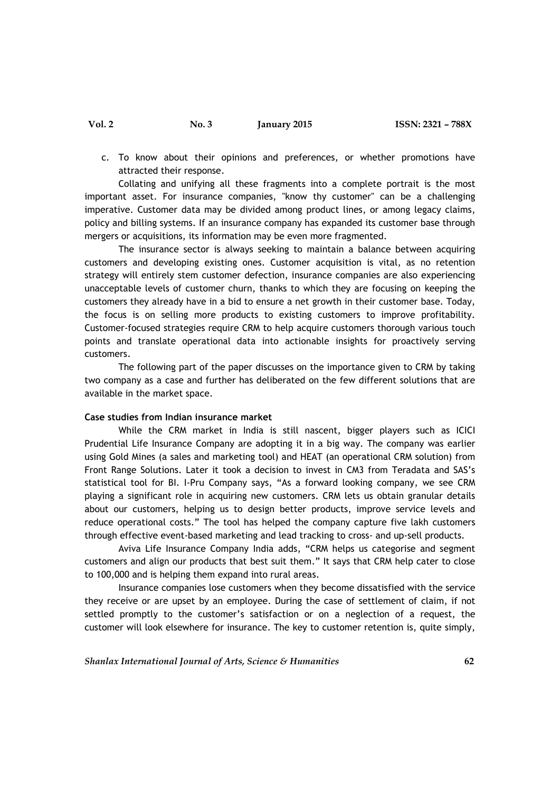c. To know about their opinions and preferences, or whether promotions have attracted their response.

Collating and unifying all these fragments into a complete portrait is the most important asset. For insurance companies, "know thy customer" can be a challenging imperative. Customer data may be divided among product lines, or among legacy claims, policy and billing systems. If an insurance company has expanded its customer base through mergers or acquisitions, its information may be even more fragmented.

The insurance sector is always seeking to maintain a balance between acquiring customers and developing existing ones. Customer acquisition is vital, as no retention strategy will entirely stem customer defection, insurance companies are also experiencing unacceptable levels of customer churn, thanks to which they are focusing on keeping the customers they already have in a bid to ensure a net growth in their customer base. Today, the focus is on selling more products to existing customers to improve profitability. Customer-focused strategies require CRM to help acquire customers thorough various touch points and translate operational data into actionable insights for proactively serving customers.

The following part of the paper discusses on the importance given to CRM by taking two company as a case and further has deliberated on the few different solutions that are available in the market space.

#### **Case studies from Indian insurance market**

While the CRM market in India is still nascent, bigger players such as ICICI Prudential Life Insurance Company are adopting it in a big way. The company was earlier using Gold Mines (a sales and marketing tool) and HEAT (an operational CRM solution) from Front Range Solutions. Later it took a decision to invest in CM3 from Teradata and SAS's statistical tool for BI. I-Pru Company says, "As a forward looking company, we see CRM playing a significant role in acquiring new customers. CRM lets us obtain granular details about our customers, helping us to design better products, improve service levels and reduce operational costs." The tool has helped the company capture five lakh customers through effective event-based marketing and lead tracking to cross- and up-sell products.

Aviva Life Insurance Company India adds, "CRM helps us categorise and segment customers and align our products that best suit them." It says that CRM help cater to close to 100,000 and is helping them expand into rural areas.

Insurance companies lose customers when they become dissatisfied with the service they receive or are upset by an employee. During the case of settlement of claim, if not settled promptly to the customer's satisfaction or on a neglection of a request, the customer will look elsewhere for insurance. The key to customer retention is, quite simply,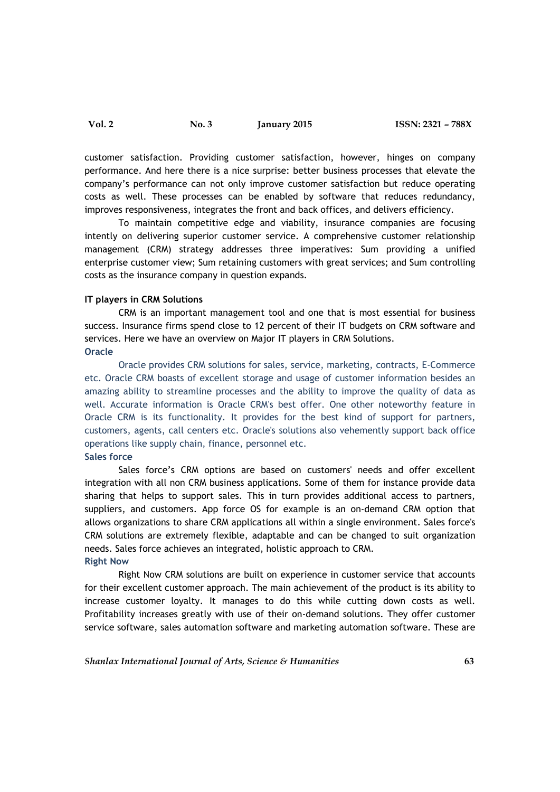customer satisfaction. Providing customer satisfaction, however, hinges on company performance. And here there is a nice surprise: better business processes that elevate the company's performance can not only improve customer satisfaction but reduce operating costs as well. These processes can be enabled by software that reduces redundancy, improves responsiveness, integrates the front and back offices, and delivers efficiency.

To maintain competitive edge and viability, insurance companies are focusing intently on delivering superior customer service. A comprehensive customer relationship management (CRM) strategy addresses three imperatives: Sum providing a unified enterprise customer view; Sum retaining customers with great services; and Sum controlling costs as the insurance company in question expands.

### **IT players in CRM Solutions**

CRM is an important management tool and one that is most essential for business success. Insurance firms spend close to 12 percent of their IT budgets on CRM software and services. Here we have an overview on Major IT players in CRM Solutions. **Oracle** 

Oracle provides CRM solutions for sales, service, marketing, contracts, E-Commerce etc. Oracle CRM boasts of excellent storage and usage of customer information besides an amazing ability to streamline processes and the ability to improve the quality of data as well. Accurate information is Oracle CRM's best offer. One other noteworthy feature in Oracle CRM is its functionality. It provides for the best kind of support for partners, customers, agents, call centers etc. Oracle's solutions also vehemently support back office operations like supply chain, finance, personnel etc. **Sales force**

Sales force's CRM options are based on customers' needs and offer excellent integration with all non CRM business applications. Some of them for instance provide data sharing that helps to support sales. This in turn provides additional access to partners, suppliers, and customers. App force OS for example is an on-demand CRM option that allows organizations to share CRM applications all within a single environment. Sales force's CRM solutions are extremely flexible, adaptable and can be changed to suit organization needs. Sales force achieves an integrated, holistic approach to CRM. **Right Now** 

Right Now CRM solutions are built on experience in customer service that accounts for their excellent customer approach. The main achievement of the product is its ability to increase customer loyalty. It manages to do this while cutting down costs as well. Profitability increases greatly with use of their on-demand solutions. They offer customer service software, sales automation software and marketing automation software. These are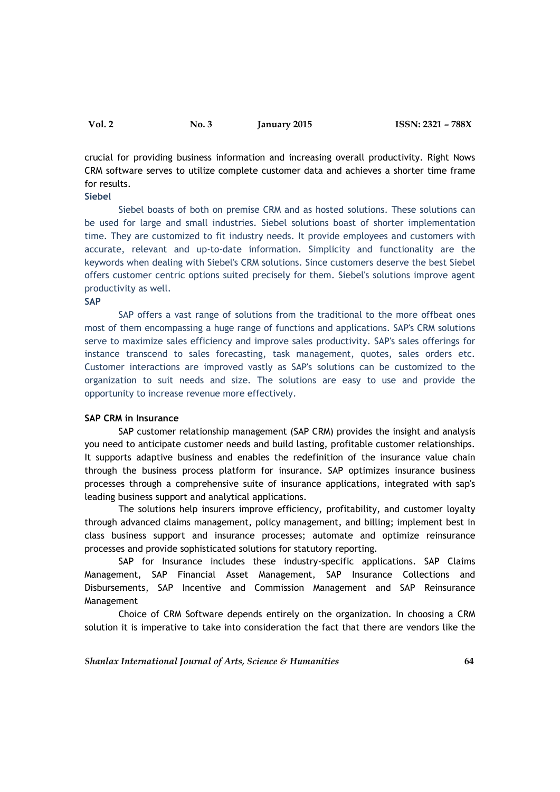crucial for providing business information and increasing overall productivity. Right Nows CRM software serves to utilize complete customer data and achieves a shorter time frame for results.

### **Siebel**

Siebel boasts of both on premise CRM and as hosted solutions. These solutions can be used for large and small industries. Siebel solutions boast of shorter implementation time. They are customized to fit industry needs. It provide employees and customers with accurate, relevant and up-to-date information. Simplicity and functionality are the keywords when dealing with Siebel's CRM solutions. Since customers deserve the best Siebel offers customer centric options suited precisely for them. Siebel's solutions improve agent productivity as well.

#### **SAP**

SAP offers a vast range of solutions from the traditional to the more offbeat ones most of them encompassing a huge range of functions and applications. SAP's CRM solutions serve to maximize sales efficiency and improve sales productivity. SAP's sales offerings for instance transcend to sales forecasting, task management, quotes, sales orders etc. Customer interactions are improved vastly as SAP's solutions can be customized to the organization to suit needs and size. The solutions are easy to use and provide the opportunity to increase revenue more effectively.

# **SAP CRM in Insurance**

SAP customer relationship management (SAP CRM) provides the insight and analysis you need to anticipate customer needs and build lasting, profitable customer relationships. It supports adaptive business and enables the redefinition of the insurance value chain through the business process platform for insurance. SAP optimizes insurance business processes through a comprehensive suite of insurance applications, integrated with sap's leading business support and analytical applications.

The solutions help insurers improve efficiency, profitability, and customer loyalty through advanced claims management, policy management, and billing; implement best in class business support and insurance processes; automate and optimize reinsurance processes and provide sophisticated solutions for statutory reporting.

SAP for Insurance includes these industry-specific applications. SAP Claims Management, SAP Financial Asset Management, SAP Insurance Collections and Disbursements, SAP Incentive and Commission Management and SAP Reinsurance Management

Choice of CRM Software depends entirely on the organization. In choosing a CRM solution it is imperative to take into consideration the fact that there are vendors like the